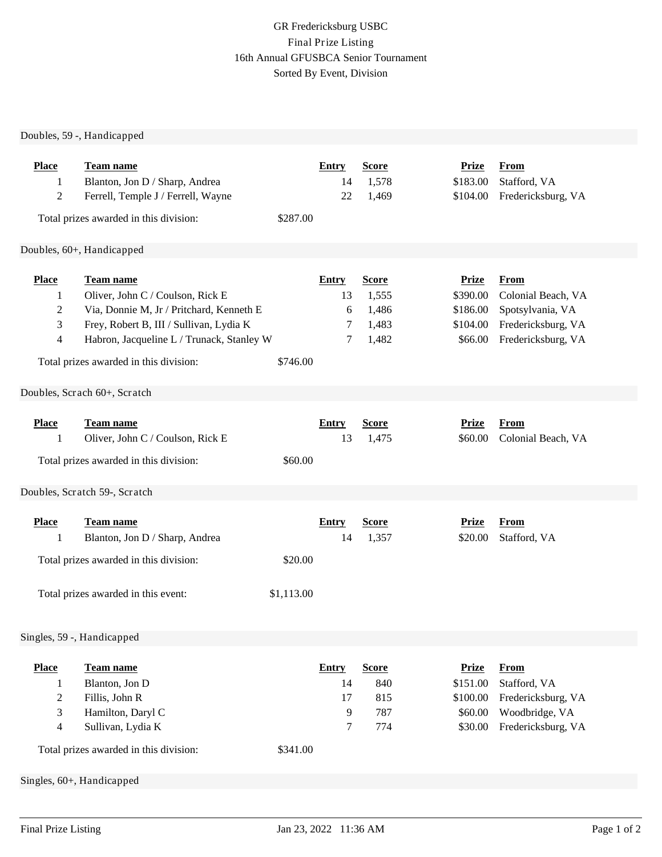## GR Fredericksburg USBC Final Prize Listing 16th Annual GFUSBCA Senior Tournament Sorted By Event, Division

## Doubles, 59 -, Handicapped

| <b>Place</b><br>1<br>$\overline{c}$ | Team name<br>Blanton, Jon D / Sharp, Andrea<br>Ferrell, Temple J / Ferrell, Wayne<br>Total prizes awarded in this division: | \$287.00   | <b>Entry</b><br>14<br>22 | <b>Score</b><br>1,578<br>1,469 | <b>Prize</b><br>\$183.00<br>\$104.00 | <b>From</b><br>Stafford, VA<br>Fredericksburg, VA |  |
|-------------------------------------|-----------------------------------------------------------------------------------------------------------------------------|------------|--------------------------|--------------------------------|--------------------------------------|---------------------------------------------------|--|
|                                     | Doubles, 60+, Handicapped                                                                                                   |            |                          |                                |                                      |                                                   |  |
|                                     |                                                                                                                             |            |                          |                                |                                      |                                                   |  |
| <b>Place</b>                        | Team name                                                                                                                   |            | <b>Entry</b>             | <b>Score</b>                   | <b>Prize</b>                         | <b>From</b>                                       |  |
| 1                                   | Oliver, John C / Coulson, Rick E                                                                                            |            | 13                       | 1,555                          | \$390.00<br>\$186.00                 | Colonial Beach, VA                                |  |
| 2<br>3                              | Via, Donnie M, Jr / Pritchard, Kenneth E<br>Frey, Robert B, III / Sullivan, Lydia K                                         |            | 6<br>7                   | 1,486<br>1,483                 | \$104.00                             | Spotsylvania, VA<br>Fredericksburg, VA            |  |
| 4                                   | Habron, Jacqueline L / Trunack, Stanley W                                                                                   |            | 7                        | 1,482                          | \$66.00                              | Fredericksburg, VA                                |  |
|                                     |                                                                                                                             |            |                          |                                |                                      |                                                   |  |
|                                     | Total prizes awarded in this division:                                                                                      | \$746.00   |                          |                                |                                      |                                                   |  |
|                                     | Doubles, Scrach 60+, Scratch                                                                                                |            |                          |                                |                                      |                                                   |  |
|                                     |                                                                                                                             |            |                          |                                |                                      |                                                   |  |
| <b>Place</b>                        | Team name                                                                                                                   |            | <b>Entry</b>             | <b>Score</b>                   | <b>Prize</b>                         | <b>From</b>                                       |  |
| 1                                   | Oliver, John C / Coulson, Rick E                                                                                            |            | 13                       | 1,475                          | \$60.00                              | Colonial Beach, VA                                |  |
|                                     | Total prizes awarded in this division:                                                                                      | \$60.00    |                          |                                |                                      |                                                   |  |
|                                     |                                                                                                                             |            |                          |                                |                                      |                                                   |  |
|                                     | Doubles, Scratch 59-, Scratch                                                                                               |            |                          |                                |                                      |                                                   |  |
| <b>Place</b>                        | Team name                                                                                                                   |            | <b>Entry</b>             | <b>Score</b>                   | <b>Prize</b>                         | <b>From</b>                                       |  |
| 1                                   | Blanton, Jon D / Sharp, Andrea                                                                                              |            | 14                       | 1,357                          | \$20.00                              | Stafford, VA                                      |  |
|                                     |                                                                                                                             |            |                          |                                |                                      |                                                   |  |
|                                     | Total prizes awarded in this division:                                                                                      | \$20.00    |                          |                                |                                      |                                                   |  |
|                                     | Total prizes awarded in this event:                                                                                         | \$1,113.00 |                          |                                |                                      |                                                   |  |
|                                     |                                                                                                                             |            |                          |                                |                                      |                                                   |  |
|                                     |                                                                                                                             |            |                          |                                |                                      |                                                   |  |
| Singles, 59 -, Handicapped          |                                                                                                                             |            |                          |                                |                                      |                                                   |  |
| <b>Place</b>                        | Team name                                                                                                                   |            | <b>Entry</b>             | <b>Score</b>                   | <b>Prize</b>                         | From                                              |  |
| 1                                   | Blanton, Jon D                                                                                                              |            | 14                       | 840                            | \$151.00                             | Stafford, VA                                      |  |
| $\overline{c}$                      | Fillis, John R                                                                                                              |            | 17                       | 815                            | \$100.00                             | Fredericksburg, VA                                |  |
| 3                                   | Hamilton, Daryl C                                                                                                           |            | 9                        | 787                            | \$60.00                              | Woodbridge, VA                                    |  |
| $\overline{\mathcal{A}}$            | Sullivan, Lydia K                                                                                                           |            | 7                        | 774                            | \$30.00                              | Fredericksburg, VA                                |  |
|                                     | Total prizes awarded in this division:                                                                                      | \$341.00   |                          |                                |                                      |                                                   |  |
| Singles, 60+, Handicapped           |                                                                                                                             |            |                          |                                |                                      |                                                   |  |